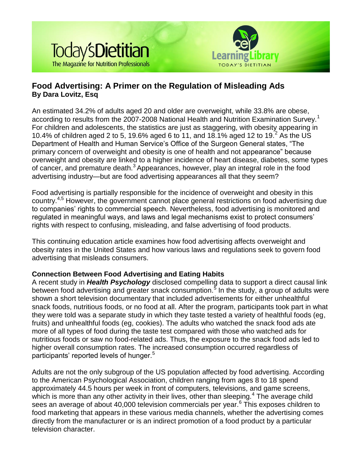



# **Food Advertising: A Primer on the Regulation of Misleading Ads By Dara Lovitz, Esq**

An estimated 34.2% of adults aged 20 and older are overweight, while 33.8% are obese, according to results from the 2007-2008 National Health and Nutrition Examination Survey.<sup>1</sup> For children and adolescents, the statistics are just as staggering, with obesity appearing in 10.4% of children aged 2 to 5, 19.6% aged 6 to 11, and 18.1% aged 12 to 19.<sup>2</sup> As the US Department of Health and Human Service's Office of the Surgeon General states, "The primary concern of overweight and obesity is one of health and not appearance" because overweight and obesity are linked to a higher incidence of heart disease, diabetes, some types of cancer, and premature death.<sup>3</sup> Appearances, however, play an integral role in the food advertising industry—but are food advertising appearances all that they seem?

Food advertising is partially responsible for the incidence of overweight and obesity in this country.4,5 However, the government cannot place general restrictions on food advertising due to companies' rights to commercial speech. Nevertheless, food advertising is monitored and regulated in meaningful ways, and laws and legal mechanisms exist to protect consumers' rights with respect to confusing, misleading, and false advertising of food products.

This continuing education article examines how food advertising affects overweight and obesity rates in the United States and how various laws and regulations seek to govern food advertising that misleads consumers.

# **Connection Between Food Advertising and Eating Habits**

A recent study in *Health Psychology* disclosed compelling data to support a direct causal link between food advertising and greater snack consumption.<sup>5</sup> In the study, a group of adults were shown a short television documentary that included advertisements for either unhealthful snack foods, nutritious foods, or no food at all. After the program, participants took part in what they were told was a separate study in which they taste tested a variety of healthful foods (eg, fruits) and unhealthful foods (eg, cookies). The adults who watched the snack food ads ate more of all types of food during the taste test compared with those who watched ads for nutritious foods or saw no food-related ads. Thus, the exposure to the snack food ads led to higher overall consumption rates. The increased consumption occurred regardless of participants' reported levels of hunger.<sup>5</sup>

Adults are not the only subgroup of the US population affected by food advertising. According to the American Psychological Association, children ranging from ages 8 to 18 spend approximately 44.5 hours per week in front of computers, televisions, and game screens, which is more than any other activity in their lives, other than sleeping.<sup>4</sup> The average child sees an average of about 40,000 television commercials per year.<sup>6</sup> This exposes children to food marketing that appears in these various media channels, whether the advertising comes directly from the manufacturer or is an indirect promotion of a food product by a particular television character.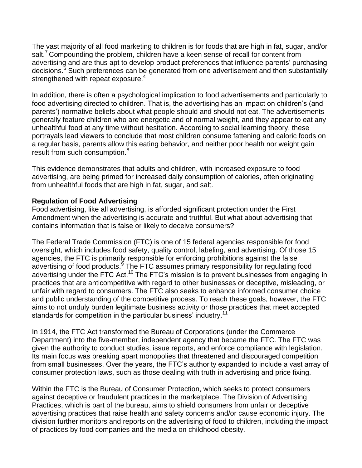The vast majority of all food marketing to children is for foods that are high in fat, sugar, and/or salt.<sup>7</sup> Compounding the problem, children have a keen sense of recall for content from advertising and are thus apt to develop product preferences that influence parents' purchasing decisions.<sup>6</sup> Such preferences can be generated from one advertisement and then substantially strengthened with repeat exposure.<sup>4</sup>

In addition, there is often a psychological implication to food advertisements and particularly to food advertising directed to children. That is, the advertising has an impact on children's (and parents') normative beliefs about what people should and should not eat. The advertisements generally feature children who are energetic and of normal weight, and they appear to eat any unhealthful food at any time without hesitation. According to social learning theory, these portrayals lead viewers to conclude that most children consume fattening and caloric foods on a regular basis, parents allow this eating behavior, and neither poor health nor weight gain result from such consumption.<sup>8</sup>

This evidence demonstrates that adults and children, with increased exposure to food advertising, are being primed for increased daily consumption of calories, often originating from unhealthful foods that are high in fat, sugar, and salt.

### **Regulation of Food Advertising**

Food advertising, like all advertising, is afforded significant protection under the First Amendment when the advertising is accurate and truthful. But what about advertising that contains information that is false or likely to deceive consumers?

The Federal Trade Commission (FTC) is one of 15 federal agencies responsible for food oversight, which includes food safety, quality control, labeling, and advertising. Of those 15 agencies, the FTC is primarily responsible for enforcing prohibitions against the false advertising of food products.<sup>9</sup> The FTC assumes primary responsibility for regulating food advertising under the FTC Act.<sup>10</sup> The FTC's mission is to prevent businesses from engaging in practices that are anticompetitive with regard to other businesses or deceptive, misleading, or unfair with regard to consumers. The FTC also seeks to enhance informed consumer choice and public understanding of the competitive process. To reach these goals, however, the FTC aims to not unduly burden legitimate business activity or those practices that meet accepted standards for competition in the particular business' industry.<sup>11</sup>

In 1914, the FTC Act transformed the Bureau of Corporations (under the Commerce Department) into the five-member, independent agency that became the FTC. The FTC was given the authority to conduct studies, issue reports, and enforce compliance with legislation. Its main focus was breaking apart monopolies that threatened and discouraged competition from small businesses. Over the years, the FTC's authority expanded to include a vast array of consumer protection laws, such as those dealing with truth in advertising and price fixing.

Within the FTC is the Bureau of Consumer Protection, which seeks to protect consumers against deceptive or fraudulent practices in the marketplace. The Division of Advertising Practices, which is part of the bureau, aims to shield consumers from unfair or deceptive advertising practices that raise health and safety concerns and/or cause economic injury. The division further monitors and reports on the advertising of food to children, including the impact of practices by food companies and the media on childhood obesity.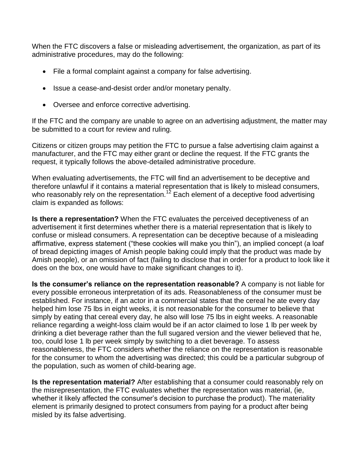When the FTC discovers a false or misleading advertisement, the organization, as part of its administrative procedures, may do the following:

- File a formal complaint against a company for false advertising.
- Issue a cease-and-desist order and/or monetary penalty.
- Oversee and enforce corrective advertising.

If the FTC and the company are unable to agree on an advertising adjustment, the matter may be submitted to a court for review and ruling.

Citizens or citizen groups may petition the FTC to pursue a false advertising claim against a manufacturer, and the FTC may either grant or decline the request. If the FTC grants the request, it typically follows the above-detailed administrative procedure.

When evaluating advertisements, the FTC will find an advertisement to be deceptive and therefore unlawful if it contains a material representation that is likely to mislead consumers, who reasonably rely on the representation.<sup>12</sup> Each element of a deceptive food advertising claim is expanded as follows:

**Is there a representation?** When the FTC evaluates the perceived deceptiveness of an advertisement it first determines whether there is a material representation that is likely to confuse or mislead consumers. A representation can be deceptive because of a misleading affirmative, express statement ("these cookies will make you thin"), an implied concept (a loaf of bread depicting images of Amish people baking could imply that the product was made by Amish people), or an omission of fact (failing to disclose that in order for a product to look like it does on the box, one would have to make significant changes to it).

**Is the consumer's reliance on the representation reasonable?** A company is not liable for every possible erroneous interpretation of its ads. Reasonableness of the consumer must be established. For instance, if an actor in a commercial states that the cereal he ate every day helped him lose 75 lbs in eight weeks, it is not reasonable for the consumer to believe that simply by eating that cereal every day, he also will lose 75 lbs in eight weeks. A reasonable reliance regarding a weight-loss claim would be if an actor claimed to lose 1 lb per week by drinking a diet beverage rather than the full sugared version and the viewer believed that he, too, could lose 1 lb per week simply by switching to a diet beverage. To assess reasonableness, the FTC considers whether the reliance on the representation is reasonable for the consumer to whom the advertising was directed; this could be a particular subgroup of the population, such as women of child-bearing age.

**Is the representation material?** After establishing that a consumer could reasonably rely on the misrepresentation, the FTC evaluates whether the representation was material, (ie, whether it likely affected the consumer's decision to purchase the product). The materiality element is primarily designed to protect consumers from paying for a product after being misled by its false advertising.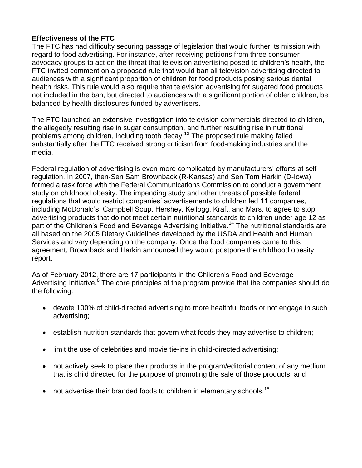# **Effectiveness of the FTC**

The FTC has had difficulty securing passage of legislation that would further its mission with regard to food advertising. For instance, after receiving petitions from three consumer advocacy groups to act on the threat that television advertising posed to children's health, the FTC invited comment on a proposed rule that would ban all television advertising directed to audiences with a significant proportion of children for food products posing serious dental health risks. This rule would also require that television advertising for sugared food products not included in the ban, but directed to audiences with a significant portion of older children, be balanced by health disclosures funded by advertisers.

The FTC launched an extensive investigation into television commercials directed to children, the allegedly resulting rise in sugar consumption, and further resulting rise in nutritional problems among children, including tooth decay.<sup>13</sup> The proposed rule making failed substantially after the FTC received strong criticism from food-making industries and the media.

Federal regulation of advertising is even more complicated by manufacturers' efforts at selfregulation. In 2007, then-Sen Sam Brownback (R-Kansas) and Sen Tom Harkin (D-Iowa) formed a task force with the Federal Communications Commission to conduct a government study on childhood obesity. The impending study and other threats of possible federal regulations that would restrict companies' advertisements to children led 11 companies, including McDonald's, Campbell Soup, Hershey, Kellogg, Kraft, and Mars, to agree to stop advertising products that do not meet certain nutritional standards to children under age 12 as part of the Children's Food and Beverage Advertising Initiative.<sup>14</sup> The nutritional standards are all based on the 2005 Dietary Guidelines developed by the USDA and Health and Human Services and vary depending on the company. Once the food companies came to this agreement, Brownback and Harkin announced they would postpone the childhood obesity report.

As of February 2012, there are 17 participants in the Children's Food and Beverage Advertising Initiative.<sup>8</sup> The core principles of the program provide that the companies should do the following:

- devote 100% of child-directed advertising to more healthful foods or not engage in such advertising;
- establish nutrition standards that govern what foods they may advertise to children;
- limit the use of celebrities and movie tie-ins in child-directed advertising;
- not actively seek to place their products in the program/editorial content of any medium that is child directed for the purpose of promoting the sale of those products; and
- not advertise their branded foods to children in elementary schools.<sup>15</sup>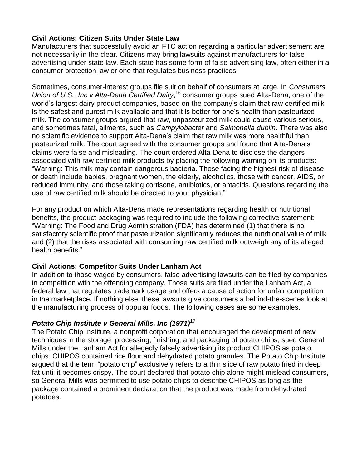# **Civil Actions: Citizen Suits Under State Law**

Manufacturers that successfully avoid an FTC action regarding a particular advertisement are not necessarily in the clear. Citizens may bring lawsuits against manufacturers for false advertising under state law. Each state has some form of false advertising law, often either in a consumer protection law or one that regulates business practices.

Sometimes, consumer-interest groups file suit on behalf of consumers at large. In *Consumers*  Union of U.S., Inc v Alta-Dena Certified Dairy,<sup>16</sup> consumer groups sued Alta-Dena, one of the world's largest dairy product companies, based on the company's claim that raw certified milk is the safest and purest milk available and that it is better for one's health than pasteurized milk. The consumer groups argued that raw, unpasteurized milk could cause various serious, and sometimes fatal, ailments, such as *Campylobacter* and *Salmonella dublin*. There was also no scientific evidence to support Alta-Dena's claim that raw milk was more healthful than pasteurized milk. The court agreed with the consumer groups and found that Alta-Dena's claims were false and misleading. The court ordered Alta-Dena to disclose the dangers associated with raw certified milk products by placing the following warning on its products: "Warning: This milk may contain dangerous bacteria. Those facing the highest risk of disease or death include babies, pregnant women, the elderly, alcoholics, those with cancer, AIDS, or reduced immunity, and those taking cortisone, antibiotics, or antacids. Questions regarding the use of raw certified milk should be directed to your physician."

For any product on which Alta-Dena made representations regarding health or nutritional benefits, the product packaging was required to include the following corrective statement: "Warning: The Food and Drug Administration (FDA) has determined (1) that there is no satisfactory scientific proof that pasteurization significantly reduces the nutritional value of milk and (2) that the risks associated with consuming raw certified milk outweigh any of its alleged health benefits."

# **Civil Actions: Competitor Suits Under Lanham Act**

In addition to those waged by consumers, false advertising lawsuits can be filed by companies in competition with the offending company. Those suits are filed under the Lanham Act, a federal law that regulates trademark usage and offers a cause of action for unfair competition in the marketplace. If nothing else, these lawsuits give consumers a behind-the-scenes look at the manufacturing process of popular foods. The following cases are some examples.

# *Potato Chip Institute v General Mills, Inc (1971)*<sup>17</sup>

The Potato Chip Institute, a nonprofit corporation that encouraged the development of new techniques in the storage, processing, finishing, and packaging of potato chips, sued General Mills under the Lanham Act for allegedly falsely advertising its product CHIPOS as potato chips. CHIPOS contained rice flour and dehydrated potato granules. The Potato Chip Institute argued that the term "potato chip" exclusively refers to a thin slice of raw potato fried in deep fat until it becomes crispy. The court declared that potato chip alone might mislead consumers, so General Mills was permitted to use potato chips to describe CHIPOS as long as the package contained a prominent declaration that the product was made from dehydrated potatoes.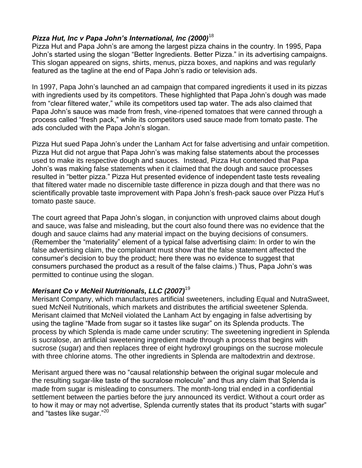# *Pizza Hut, Inc v Papa John's International, Inc (2000)*<sup>18</sup>

Pizza Hut and Papa John's are among the largest pizza chains in the country. In 1995, Papa John's started using the slogan "Better Ingredients. Better Pizza." in its advertising campaigns. This slogan appeared on signs, shirts, menus, pizza boxes, and napkins and was regularly featured as the tagline at the end of Papa John's radio or television ads.

In 1997, Papa John's launched an ad campaign that compared ingredients it used in its pizzas with ingredients used by its competitors. These highlighted that Papa John's dough was made from "clear filtered water," while its competitors used tap water. The ads also claimed that Papa John's sauce was made from fresh, vine-ripened tomatoes that were canned through a process called "fresh pack," while its competitors used sauce made from tomato paste. The ads concluded with the Papa John's slogan.

Pizza Hut sued Papa John's under the Lanham Act for false advertising and unfair competition. Pizza Hut did not argue that Papa John's was making false statements about the processes used to make its respective dough and sauces. Instead, Pizza Hut contended that Papa John's was making false statements when it claimed that the dough and sauce processes resulted in "better pizza." Pizza Hut presented evidence of independent taste tests revealing that filtered water made no discernible taste difference in pizza dough and that there was no scientifically provable taste improvement with Papa John's fresh-pack sauce over Pizza Hut's tomato paste sauce.

The court agreed that Papa John's slogan, in conjunction with unproved claims about dough and sauce, was false and misleading, but the court also found there was no evidence that the dough and sauce claims had any material impact on the buying decisions of consumers. (Remember the "materiality" element of a typical false advertising claim: In order to win the false advertising claim, the complainant must show that the false statement affected the consumer's decision to buy the product; here there was no evidence to suggest that consumers purchased the product as a result of the false claims.) Thus, Papa John's was permitted to continue using the slogan.

# *Merisant Co v McNeil Nutritionals, LLC (2007)*<sup>19</sup>

Merisant Company, which manufactures artificial sweeteners, including Equal and NutraSweet, sued McNeil Nutritionals, which markets and distributes the artificial sweetener Splenda. Merisant claimed that McNeil violated the Lanham Act by engaging in false advertising by using the tagline "Made from sugar so it tastes like sugar" on its Splenda products. The process by which Splenda is made came under scrutiny: The sweetening ingredient in Splenda is sucralose, an artificial sweetening ingredient made through a process that begins with sucrose (sugar) and then replaces three of eight hydroxyl groupings on the sucrose molecule with three chlorine atoms. The other ingredients in Splenda are maltodextrin and dextrose.

Merisant argued there was no "causal relationship between the original sugar molecule and the resulting sugar-like taste of the sucralose molecule" and thus any claim that Splenda is made from sugar is misleading to consumers. The month-long trial ended in a confidential settlement between the parties before the jury announced its verdict. Without a court order as to how it may or may not advertise, Splenda currently states that its product "starts with sugar" and "tastes like sugar."<sup>20</sup>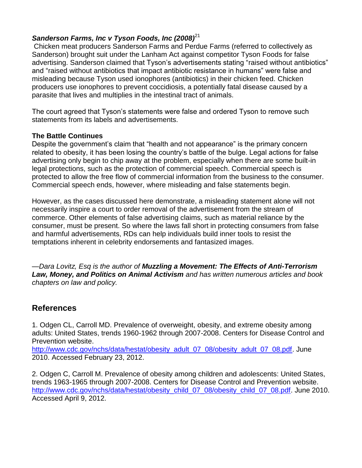# **Sanderson Farms, Inc v Tyson Foods, Inc (2008)**<sup>21</sup>

Chicken meat producers Sanderson Farms and Perdue Farms (referred to collectively as Sanderson) brought suit under the Lanham Act against competitor Tyson Foods for false advertising. Sanderson claimed that Tyson's advertisements stating "raised without antibiotics" and "raised without antibiotics that impact antibiotic resistance in humans" were false and misleading because Tyson used ionophores (antibiotics) in their chicken feed. Chicken producers use ionophores to prevent coccidiosis, a potentially fatal disease caused by a parasite that lives and multiplies in the intestinal tract of animals.

The court agreed that Tyson's statements were false and ordered Tyson to remove such statements from its labels and advertisements.

### **The Battle Continues**

Despite the government's claim that "health and not appearance" is the primary concern related to obesity, it has been losing the country's battle of the bulge. Legal actions for false advertising only begin to chip away at the problem, especially when there are some built-in legal protections, such as the protection of commercial speech. Commercial speech is protected to allow the free flow of commercial information from the business to the consumer. Commercial speech ends, however, where misleading and false statements begin.

However, as the cases discussed here demonstrate, a misleading statement alone will not necessarily inspire a court to order removal of the advertisement from the stream of commerce. Other elements of false advertising claims, such as material reliance by the consumer, must be present. So where the laws fall short in protecting consumers from false and harmful advertisements, RDs can help individuals build inner tools to resist the temptations inherent in celebrity endorsements and fantasized images.

*—Dara Lovitz, Esq is the author of Muzzling a Movement: The Effects of Anti-Terrorism Law, Money, and Politics on Animal Activism and has written numerous articles and book chapters on law and policy.*

# **References**

1. Odgen CL, Carroll MD. Prevalence of overweight, obesity, and extreme obesity among adults: United States, trends 1960-1962 through 2007-2008. Centers for Disease Control and Prevention website.

[http://www.cdc.gov/nchs/data/hestat/obesity\\_adult\\_07\\_08/obesity\\_adult\\_07\\_08.pdf.](http://www.cdc.gov/nchs/data/hestat/obesity_adult_07_08/obesity_adult_07_08.pdf) June 2010. Accessed February 23, 2012.

2. Odgen C, Carroll M. Prevalence of obesity among children and adolescents: United States, trends 1963-1965 through 2007-2008. Centers for Disease Control and Prevention website. [http://www.cdc.gov/nchs/data/hestat/obesity\\_child\\_07\\_08/obesity\\_child\\_07\\_08.pdf.](http://www.cdc.gov/nchs/data/hestat/obesity_child_07_08/obesity_child_07_08.pdf) June 2010. Accessed April 9, 2012.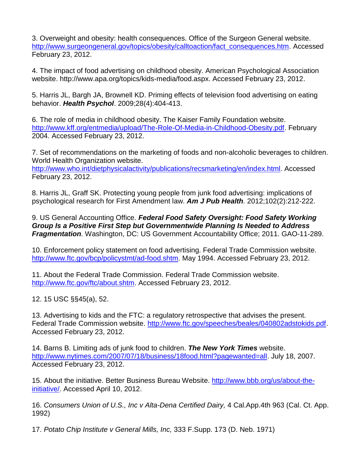3. Overweight and obesity: health consequences. Office of the Surgeon General website. [http://www.surgeongeneral.gov/topics/obesity/calltoaction/fact\\_consequences.htm.](http://www.surgeongeneral.gov/topics/obesity/calltoaction/fact_consequences.htm) Accessed February 23, 2012.

4. The impact of food advertising on childhood obesity. American Psychological Association website. http://www.apa.org/topics/kids-media/food.aspx. Accessed February 23, 2012.

5. Harris JL, Bargh JA, Brownell KD. Priming effects of television food advertising on eating behavior. *Health Psychol*. 2009;28(4):404-413.

6. The role of media in childhood obesity. The Kaiser Family Foundation website. [http://www.kff.org/entmedia/upload/The-Role-Of-Media-in-Childhood-Obesity.pdf.](http://www.kff.org/entmedia/upload/The-Role-Of-Media-in-Childhood-Obesity.pdf) February 2004. Accessed February 23, 2012.

7. Set of recommendations on the marketing of foods and non-alcoholic beverages to children. World Health Organization website.

[http://www.who.int/dietphysicalactivity/publications/recsmarketing/en/index.html.](http://www.who.int/dietphysicalactivity/publications/recsmarketing/en/index.html) Accessed February 23, 2012.

8. Harris JL, Graff SK. Protecting young people from junk food advertising: implications of psychological research for First Amendment law. *Am J Pub Health.* 2012;102(2):212-222.

9. US General Accounting Office. *Federal Food Safety Oversight: Food Safety Working Group Is a Positive First Step but Governmentwide Planning Is Needed to Address Fragmentation.* Washington, DC: US Government Accountability Office; 2011. GAO-11-289.

10. Enforcement policy statement on food advertising. Federal Trade Commission website. [http://www.ftc.gov/bcp/policystmt/ad-food.shtm.](http://www.ftc.gov/bcp/policystmt/ad-food.shtm) May 1994. Accessed February 23, 2012.

11. About the Federal Trade Commission. Federal Trade Commission website. [http://www.ftc.gov/ftc/about.shtm.](http://www.ftc.gov/ftc/about.shtm) Accessed February 23, 2012.

12. 15 USC §§45(a), 52.

13. Advertising to kids and the FTC: a regulatory retrospective that advises the present. Federal Trade Commission website. [http://www.ftc.gov/speeches/beales/040802adstokids.pdf.](http://www.ftc.gov/speeches/beales/040802adstokids.pdf) Accessed February 23, 2012.

14. Barns B. Limiting ads of junk food to children. *The New York Times* website. [http://www.nytimes.com/2007/07/18/business/18food.html?pagewanted=all.](http://www.nytimes.com/2007/07/18/business/18food.html?pagewanted=all) July 18, 2007. Accessed February 23, 2012.

15. About the initiative. Better Business Bureau Website. [http://www.bbb.org/us/about-the](http://www.bbb.org/us/about-the-initiative/)[initiative/.](http://www.bbb.org/us/about-the-initiative/) Accessed April 10, 2012.

16. *Consumers Union of U.S., Inc v Alta-Dena Certified Dairy,* 4 Cal.App.4th 963 (Cal. Ct. App. 1992)

17. *Potato Chip Institute v General Mills, Inc,* 333 F.Supp. 173 (D. Neb. 1971)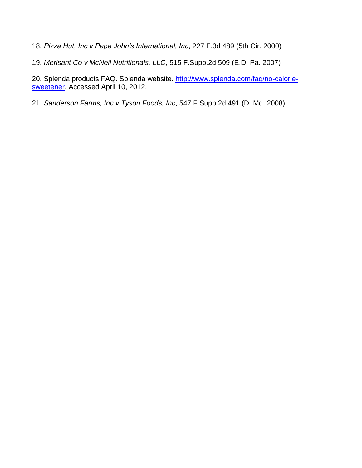18. *Pizza Hut, Inc v Papa John's International, Inc*, 227 F.3d 489 (5th Cir. 2000)

19. *Merisant Co v McNeil Nutritionals, LLC*, 515 F.Supp.2d 509 (E.D. Pa. 2007)

20. Splenda products FAQ. Splenda website. [http://www.splenda.com/faq/no-calorie](http://www.splenda.com/faq/no-calorie-sweetener)[sweetener.](http://www.splenda.com/faq/no-calorie-sweetener) Accessed April 10, 2012.

21. *Sanderson Farms, Inc v Tyson Foods, Inc*, 547 F.Supp.2d 491 (D. Md. 2008)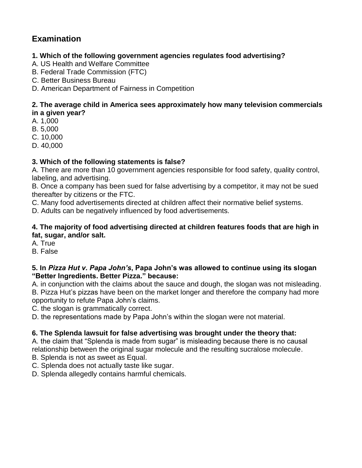# **Examination**

# **1. Which of the following government agencies regulates food advertising?**

- A. US Health and Welfare Committee
- B. Federal Trade Commission (FTC)
- C. Better Business Bureau
- D. American Department of Fairness in Competition

### **2. The average child in America sees approximately how many television commercials in a given year?**

- A. 1,000
- B. 5,000
- C. 10,000
- D. 40,000

# **3. Which of the following statements is false?**

A. There are more than 10 government agencies responsible for food safety, quality control, labeling, and advertising.

B. Once a company has been sued for false advertising by a competitor, it may not be sued thereafter by citizens or the FTC.

C. Many food advertisements directed at children affect their normative belief systems.

D. Adults can be negatively influenced by food advertisements.

### **4. The majority of food advertising directed at children features foods that are high in fat, sugar, and/or salt.**

A. True

B. False

### **5. In** *Pizza Hut v. Papa John's***, Papa John's was allowed to continue using its slogan "Better Ingredients. Better Pizza." because:**

A. in conjunction with the claims about the sauce and dough, the slogan was not misleading. B. Pizza Hut's pizzas have been on the market longer and therefore the company had more opportunity to refute Papa John's claims.

C. the slogan is grammatically correct.

D. the representations made by Papa John's within the slogan were not material.

# **6. The Splenda lawsuit for false advertising was brought under the theory that:**

A. the claim that "Splenda is made from sugar" is misleading because there is no causal relationship between the original sugar molecule and the resulting sucralose molecule.

- B. Splenda is not as sweet as Equal.
- C. Splenda does not actually taste like sugar.

D. Splenda allegedly contains harmful chemicals.